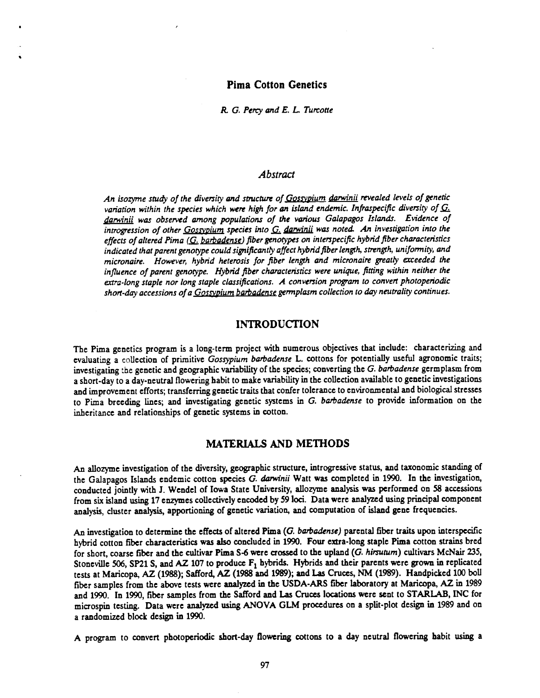## Pima Cotton Genetics

R. G. Percy and E. L. Turcotte

## Abstract

An isozyme study of the diversity and structure of Gossypium darwinii revealed levels of genetic variation within the species which were high for an island endemic. Infraspecific diversity of  $G_i$ darwinii was observed among populations of the various Galapagos Islands. Evidence of introgression of other  $Gosypium$  species into  $G$ , darwinii was noted. An investigation into the effects of altered Pima (G. barbadense) fiber genotypes on interspecific hybrid fiber characteristics indicated that parent genotype could significantly affect hybrid fiber length, strength, uniformity, and micronaire. However, hybrid heterosis for fiber length and micronaire greatly exceeded the influence of parent genotype. Hybrid fiber characteristics were unique, fitting within neither the extra -long staple nor long staple classifications. A conversion program to convert photoperiodic short-day accessions of a <u>Gossypium barbadense</u> germplasm collection to day neutrality continues.

### INTRODUCTION

The Pima genetics program is a long-term project with numerous objectives that include: characterizing and evaluating a collection of primitive Gossypium barbadense L. cottons for potentially useful agronomic traits; investigating the genetic and geographic variability of the species; converting the G. barbadense germplasm from a short -day to a day -neutral flowering habit to make variability in the collection available to genetic investigations and improvement efforts; transferring genetic traits that confer tolerance to environmental and biological stresses to Pima breeding lines; and investigating genetic systems in G. barbadense to provide information on the inheritance and relationships of genetic systems in cotton.

### MATERIALS AND METHODS

An allozyme investigation of the diversity, geographic structure, introgressive status, and taxonomic standing of the Galapagos Islands endemic cotton species G. darwinii Watt was completed in 1990. In the investigation, conducted jointly with J. Wendel of Iowa State University, allozyme analysis was performed on 58 accessions from six island using 17 enzymes collectively encoded by 59 loci. Data were analyzed using principal component analysis, cluster analysis, apportioning of genetic variation, and computation of island gene frequencies.

An investigation to determine the effects of altered Pima (G. barbadense) parental fiber traits upon interspecific hybrid cotton fiber characteristics was also concluded in 1990. Four extra -long staple Pima cotton strains bred for short, coarse fiber and the cultivar Pima S-6 were crossed to the upland (G. hirsutum) cultivars McNair 235, Stoneville 506, SP21 S, and AZ 107 to produce  $F_1$  hybrids. Hybrids and their parents were grown in replicated tests at Maricopa, AZ (1988); Safford, AZ (1988 and 1989); and Las Cruces, NM (1989). Handpicked 100 boll fiber samples from the above tests were analyzed in the USDA -ARS fiber laboratory at Maricopa, AZ in 1989 and 1990. In 1990, fiber samples from the Safford and Las Cruces locations were sent to STARLAB, INC for microspin testing. Data were analyzed using ANOVA GLM procedures on a split -plot design in 1989 and on a randomized block design in 1990.

A program to convert photoperiodic short-day flowering cottons to a day neutral flowering habit using a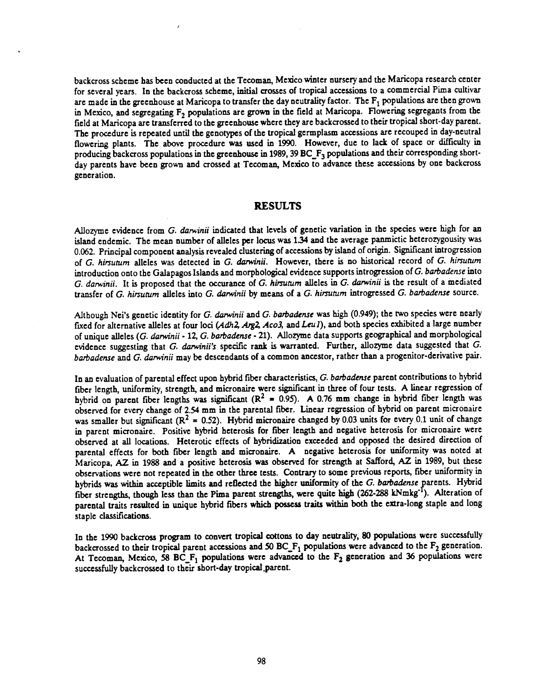backcross scheme has been conducted at the Tecoman, Mexico winter nursery and the Maricopa research center for several years. In the backcross scheme, initial crosses of tropical accessions to a commercial Pima cultivar are made in the greenhouse at Maricopa to transfer the day neutrality factor. The  $F_1$  populations are then grown in Mexico, and segregating  $F_2$  populations are grown in the field at Maricopa. Flowering segregants from the field at Maricopa are transferred to the greenhouse where they are backcrossed to their tropical short -day parent. The procedure is repeated until the genotypes of the tropical germplasm accessions are recouped in day -neutral flowering plants. The above procedure was used in 1990. However, due to lack of space or difficulty in producing backcross populations in the greenhouse in 1989, 39 BC<sub>\_F3</sub> populations and their corresponding shortday parents have been grown and crossed at Tecoman, Mexico to advance these accessions by one backcross generation.

### RESULTS

Allozyme evidence from G. darwinii indicated that levels of genetic variation in the species were high for an island endemic. The mean number of alleles per locus was 1.34 and the average panmictic heterozygousity was 0.062. Principal component analysis revealed clustering of accessions by island of origin. Significant introgression of G. hirsutum alleles was detected in G. darwinii. However, there is no historical record of G. hirsutum introduction onto the Galapagos Islands and morphological evidence supports introgression of G. barbadense into G. darwinii. It is proposed that the occurance of G. hirsutum alleles in G. darwinii is the result of a mediated transfer of G. hirsutum alleles into G. darwinii by means of a G. hirsutum introgressed G. barbadense source.

Although Nei's genetic identity for G. darwinii and G. barbadense was high (0.949); the two species were nearly fixed for alternative alleles at four loci (Adh2, Arg2, Aco3, and Leu1), and both species exhibited a large number of unique alleles (G. darwinii -12, G. barbadense - 21). Allozyme data supports geographical and morphological evidence suggesting that G. darwinii's specific rank is warranted. Further, allozyme data suggested that G. barbadense and G. darwinii may be descendants of a common ancestor, rather than a progenitor- derivative pair.

In an evaluation of parental effect upon hybrid fiber characteristics, G. barbadense parent contributions to hybrid fiber length, uniformity, strength, and micronaire were significant in three of four tests. A linear regression of hybrid on parent fiber lengths was significant ( $R^2$  = 0.95). A 0.76 mm change in hybrid fiber length was observed for every change of 2.54 mm in the parental fiber. Linear regression of hybrid on parent micronaire was smaller but significant ( $R^2$  = 0.52). Hybrid micronaire changed by 0.03 units for every 0.1 unit of change in parent micronaire. Positive hybrid heterosis for fiber length and negative heterosis for micronaire were observed at all locations. Heterotic effects of hybridization exceeded and opposed the desired direction of parental effects for both fiber length and micronaire. A negative heterosis for uniformity was noted at Maricopa, AZ in 1988 and a positive heterosis was observed for strength at Safford, AZ in 1989, but these observations were not repeated in the other three tests. Contrary to some previous reports, fiber uniformity in hybrids was within acceptible limits and reflected the higher uniformity of the G. barbadense parents. Hybrid fiber strengths, though less than the Pima parent strengths, were quite high (262-288 kNmkg<sup>-1</sup>). Alteration of parental traits resulted in unique hybrid fibers which possess traits within both the extra -long staple and long staple classifications.

In the 1990 backcross program to convert tropical cottons to day neutrality, 80 populations were successfully backcrossed to their tropical parent accessions and  $50$  BC<sub>F1</sub> populations were advanced to the  $F_2$  generation. At Tecoman, Mexico, 58 BC<sub>\_F<sub>1</sub></sub> populations were advanced to the  $F_2$  generation and 36 populations were successfully backcrossed to their short -day tropical.parent.